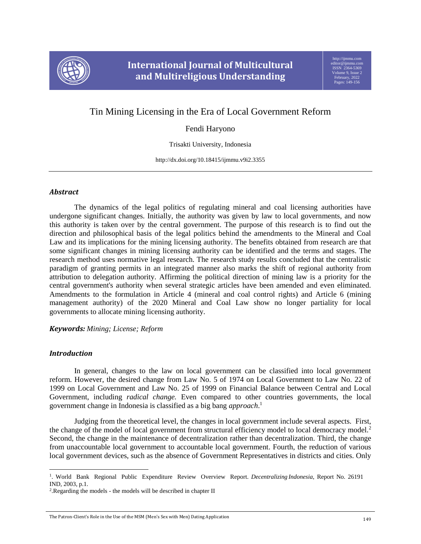

# Tin Mining Licensing in the Era of Local Government Reform

## Fendi Haryono

Trisakti University, Indonesia

http://dx.doi.org/10.18415/ijmmu.v9i2.3355

### *Abstract*

The dynamics of the legal politics of regulating mineral and coal licensing authorities have undergone significant changes. Initially, the authority was given by law to local governments, and now this authority is taken over by the central government. The purpose of this research is to find out the direction and philosophical basis of the legal politics behind the amendments to the Mineral and Coal Law and its implications for the mining licensing authority. The benefits obtained from research are that some significant changes in mining licensing authority can be identified and the terms and stages. The research method uses normative legal research. The research study results concluded that the centralistic paradigm of granting permits in an integrated manner also marks the shift of regional authority from attribution to delegation authority. Affirming the political direction of mining law is a priority for the central government's authority when several strategic articles have been amended and even eliminated. Amendments to the formulation in Article 4 (mineral and coal control rights) and Article 6 (mining management authority) of the 2020 Mineral and Coal Law show no longer partiality for local governments to allocate mining licensing authority.

*Keywords: Mining; License; Reform*

## *Introduction*

l

In general, changes to the law on local government can be classified into local government reform. However, the desired change from Law No. 5 of 1974 on Local Government to Law No. 22 of 1999 on Local Government and Law No. 25 of 1999 on Financial Balance between Central and Local Government, including *radical change.* Even compared to other countries governments, the local government change in Indonesia is classified as a big bang *approach*. 1

Judging from the theoretical level, the changes in local government include several aspects. First, the change of the model of local government from structural efficiency model to local democracy model.<sup>2</sup> Second, the change in the maintenance of decentralization rather than decentralization. Third, the change from unaccountable local government to accountable local government. Fourth, the reduction of various local government devices, such as the absence of Government Representatives in districts and cities. Only

<sup>1</sup> . World Bank Regional Public Expenditure Review Overview Report. *Decentralizing Indonesia*, Report No. 26191 IND, 2003, p.1.

<sup>2</sup> .Regarding the models - the models will be described in chapter II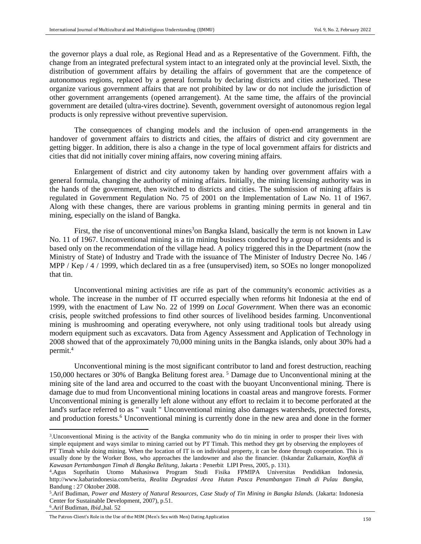the governor plays a dual role, as Regional Head and as a Representative of the Government. Fifth, the change from an integrated prefectural system intact to an integrated only at the provincial level. Sixth, the distribution of government affairs by detailing the affairs of government that are the competence of autonomous regions, replaced by a general formula by declaring districts and cities authorized. These organize various government affairs that are not prohibited by law or do not include the jurisdiction of other government arrangements (opened arrangement). At the same time, the affairs of the provincial government are detailed (ultra-vires doctrine). Seventh, government oversight of autonomous region legal products is only repressive without preventive supervision.

The consequences of changing models and the inclusion of open-end arrangements in the handover of government affairs to districts and cities, the affairs of district and city government are getting bigger. In addition, there is also a change in the type of local government affairs for districts and cities that did not initially cover mining affairs, now covering mining affairs.

Enlargement of district and city autonomy taken by handing over government affairs with a general formula, changing the authority of mining affairs. Initially, the mining licensing authority was in the hands of the government, then switched to districts and cities. The submission of mining affairs is regulated in Government Regulation No. 75 of 2001 on the Implementation of Law No. 11 of 1967. Along with these changes, there are various problems in granting mining permits in general and tin mining, especially on the island of Bangka.

First, the rise of unconventional mines<sup>3</sup>on Bangka Island, basically the term is not known in Law No. 11 of 1967. Unconventional mining is a tin mining business conducted by a group of residents and is based only on the recommendation of the village head. A policy triggered this in the Department (now the Ministry of State) of Industry and Trade with the issuance of The Minister of Industry Decree No. 146 / MPP / Kep / 4 / 1999, which declared tin as a free (unsupervised) item, so SOEs no longer monopolized that tin.

Unconventional mining activities are rife as part of the community's economic activities as a whole. The increase in the number of IT occurred especially when reforms hit Indonesia at the end of 1999, with the enactment of Law No. 22 of 1999 on *Local Government.* When there was an economic crisis, people switched professions to find other sources of livelihood besides farming. Unconventional mining is mushrooming and operating everywhere, not only using traditional tools but already using modern equipment such as excavators. Data from Agency Assessment and Application of Technology in 2008 showed that of the approximately 70,000 mining units in the Bangka islands, only about 30% had a permit.<sup>4</sup>

Unconventional mining is the most significant contributor to land and forest destruction, reaching 150,000 hectares or 30% of Bangka Belitung forest area. <sup>5</sup> Damage due to Unconventional mining at the mining site of the land area and occurred to the coast with the buoyant Unconventional mining. There is damage due to mud from Unconventional mining locations in coastal areas and mangrove forests. Former Unconventional mining is generally left alone without any effort to reclaim it to become perforated at the land's surface referred to as " vault " Unconventional mining also damages watersheds, protected forests, and production forests.<sup>6</sup> Unconventional mining is currently done in the new area and done in the former

 $\overline{\phantom{a}}$ 

<sup>3</sup> .Unconventional Mining is the activity of the Bangka community who do tin mining in order to prosper their lives with simple equipment and ways similar to mining carried out by PT Timah. This method they get by observing the employees of PT Timah while doing mining. When the location of IT is on individual property, it can be done through cooperation. This is usually done by the Worker Boss, who approaches the landowner and also the financier. (Iskandar Zulkarnain, *Konflik di Kawasan Pertambangan Timah di Bangka Belitung,* Jakarta : Penerbit LIPI Press, 2005, p. 131).

<sup>4</sup> .Agus Suprihatin Utomo Mahasiswa Program Studi Fisika FPMIPA Universitas Pendidikan Indonesia, <http://www.kabarindonesia.com/berita>*, Realita Degradasi Area Hutan Pasca Penambangan Timah di Pulau Bangka,*  Bandung : 27 Oktober 2008.

<sup>5</sup> .Arif Budiman, *Power and Mastery of Natural Resources, Case Study of Tin Mining in Bangka Islands.* (Jakarta: Indonesia Center for Sustainable Development, 2007), p.51.

<sup>6</sup> .Arif Budiman, *Ibid*.,hal. 52

The Patron-Client's Role in the Use of the MSM (Men's Sex with Men) Dating Application 150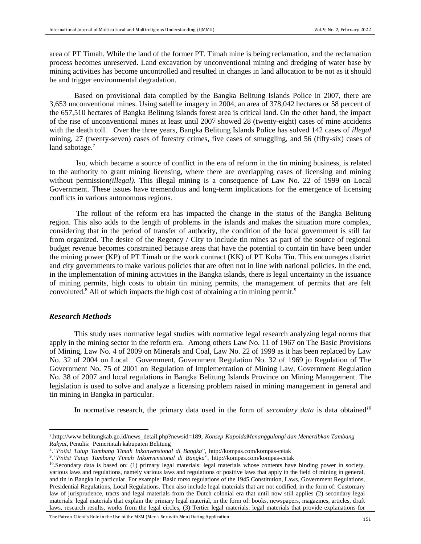area of PT Timah. While the land of the former PT. Timah mine is being reclamation, and the reclamation process becomes unreserved. Land excavation by unconventional mining and dredging of water base by mining activities has become uncontrolled and resulted in changes in land allocation to be not as it should be and trigger environmental degradation.

Based on provisional data compiled by the Bangka Belitung Islands Police in 2007, there are 3,653 unconventional mines. Using satellite imagery in 2004, an area of 378,042 hectares or 58 percent of the 657,510 hectares of Bangka Belitung islands forest area is critical land. On the other hand, the impact of the rise of unconventional mines at least until 2007 showed 28 (twenty-eight) cases of mine accidents with the death toll. Over the three years, Bangka Belitung Islands Police has solved 142 cases of *illegal*  mining, 27 (twenty-seven) cases of forestry crimes, five cases of smuggling, and 56 (fifty-six) cases of land sabotage.<sup>7</sup>

Isu, which became a source of conflict in the era of reform in the tin mining business, is related to the authority to grant mining licensing, where there are overlapping cases of licensing and mining without permission*(illegal).* This illegal mining is a consequence of Law No. 22 of 1999 on Local Government. These issues have tremendous and long-term implications for the emergence of licensing conflicts in various autonomous regions.

The rollout of the reform era has impacted the change in the status of the Bangka Belitung region. This also adds to the length of problems in the islands and makes the situation more complex, considering that in the period of transfer of authority, the condition of the local government is still far from organized. The desire of the Regency / City to include tin mines as part of the source of regional budget revenue becomes constrained because areas that have the potential to contain tin have been under the mining power (KP) of PT Timah or the work contract (KK) of PT Koba Tin. This encourages district and city governments to make various policies that are often not in line with national policies. In the end, in the implementation of mining activities in the Bangka islands, there is legal uncertainty in the issuance of mining permits, high costs to obtain tin mining permits, the management of permits that are felt convoluted.<sup>8</sup> All of which impacts the high cost of obtaining a tin mining permit.<sup>9</sup>

#### *Research Methods*

 $\overline{\phantom{a}}$ 

This study uses normative legal studies with normative legal research analyzing legal norms that apply in the mining sector in the reform era. Among others Law No. 11 of 1967 on The Basic Provisions of Mining, Law No. 4 of 2009 on Minerals and Coal, Law No. 22 of 1999 as it has been replaced by Law No. 32 of 2004 on Local Government, Government Regulation No. 32 of 1969 jo Regulation of The Government No. 75 of 2001 on Regulation of Implementation of Mining Law, Government Regulation No. 38 of 2007 and local regulations in Bangka Belitung Islands Province on Mining Management. The legislation is used to solve and analyze a licensing problem raised in mining management in general and tin mining in Bangka in particular.

In normative research, the primary data used in the form of *secondary data* is data obtained*<sup>10</sup>*

<sup>7</sup> [.http://www.belitungkab.go.id/news\\_detail.php?newsid=189,](http://www.belitungkab.go.id/news_detail.php?newsid=189,%20) *Konsep KapoldaMenanggulangi dan Menertibkan Tambang Rakyat*, Penulis: Pemerintah kabupaten Belitung

<sup>8</sup> .*"Polisi Tutup Tambang Timah Inkonvensional di Bangka*", [http://kompas.com/kompas-c](http://kompas.com/kompas-)etak

<sup>9</sup> .*"Polisi Tutup Tambang Timah Inkonvensional di Bangka*", [http://kompas.com/kompas-c](http://kompas.com/kompas-)etak

<sup>&</sup>lt;sup>10</sup>.Secondary data is based on: (1) primary legal materials: legal materials whose contents have binding power in society, various laws and regulations, namely various laws and regulations or positive laws that apply in the field of mining in general, and tin in Bangka in particular. For example: Basic torso regulations of the 1945 Constitution, Laws, Government Regulations, Presidential Regulations, Local Regulations. Then also include legal materials that are not codified, in the form of: Customary law of jurisprudence, tracts and legal materials from the Dutch colonial era that until now still applies (2) secondary legal materials: legal materials that explain the primary legal material, in the form of: books, newspapers, magazines, articles, draft laws, research results, works from the legal circles, (3) Tertier legal materials: legal materials that provide explanations for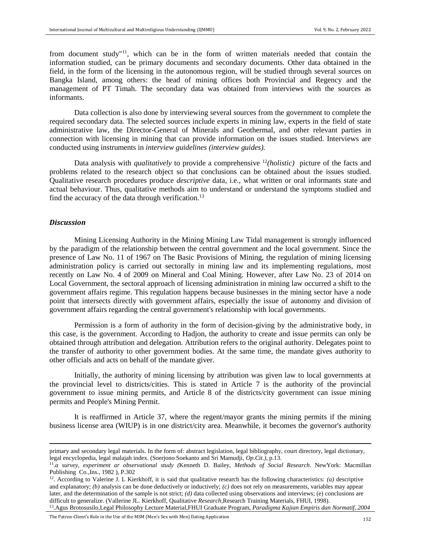from document study"<sup>11</sup>, which can be in the form of written materials needed that contain the information studied, can be primary documents and secondary documents. Other data obtained in the field, in the form of the licensing in the autonomous region, will be studied through several sources on Bangka Island, among others: the head of mining offices both Provincial and Regency and the management of PT Timah. The secondary data was obtained from interviews with the sources as informants.

Data collection is also done by interviewing several sources from the government to complete the required secondary data. The selected sources include experts in mining law, experts in the field of state administrative law, the Director-General of Minerals and Geothermal, and other relevant parties in connection with licensing in mining that can provide information on the issues studied. Interviews are conducted using instruments in *interview guidelines (interview guides).* 

Data analysis with *qualitatively* to provide a comprehensive <sup>12</sup>*(holistic)* picture of the facts and problems related to the research object so that conclusions can be obtained about the issues studied. Qualitative research procedures produce *descriptive* data, i.e., what written or oral informants state and actual behaviour. Thus, qualitative methods aim to understand or understand the symptoms studied and find the accuracy of the data through verification.<sup>13</sup>

#### *Discussion*

 $\overline{\phantom{a}}$ 

Mining Licensing Authority in the Mining Mining Law Tidal management is strongly influenced by the paradigm of the relationship between the central government and the local government. Since the presence of Law No. 11 of 1967 on The Basic Provisions of Mining, the regulation of mining licensing administration policy is carried out sectorally in mining law and its implementing regulations, most recently on Law No. 4 of 2009 on Mineral and Coal Mining. However, after Law No. 23 of 2014 on Local Government, the sectoral approach of licensing administration in mining law occurred a shift to the government affairs regime. This regulation happens because businesses in the mining sector have a node point that intersects directly with government affairs, especially the issue of autonomy and division of government affairs regarding the central government's relationship with local governments.

Permission is a form of authority in the form of decision-giving by the administrative body, in this case, is the government. According to Hadjon, the authority to create and issue permits can only be obtained through attribution and delegation. Attribution refers to the original authority. Delegates point to the transfer of authority to other government bodies. At the same time, the mandate gives authority to other officials and acts on behalf of the mandate giver.

Initially, the authority of mining licensing by attribution was given law to local governments at the provincial level to districts/cities. This is stated in Article 7 is the authority of the provincial government to issue mining permits, and Article 8 of the districts/city government can issue mining permits and People's Mining Permit.

It is reaffirmed in Article 37, where the regent/mayor grants the mining permits if the mining business license area (WIUP) is in one district/city area. Meanwhile, it becomes the governor's authority

The Patron-Client's Role in the Use of the MSM (Men's Sex with Men) Dating Application <sup>152</sup>

primary and secondary legal materials. In the form of: abstract legislation, legal bibliography, court directory, legal dictionary, legal encyclopedia, legal malajah index. (Soerjono Soekanto and Sri Mamudji, *Op.Cit.)*, p.13.

<sup>11</sup> .*a survey, experiment ar observational study (*Kenneth D. Bailey, *Methods of Social Research*. NewYork: Macmillan Publishing Co.,Ins., 1982 ), P.302

 $12$ . According to Valerine J. L Kierkhoff, it is said that qualitative research has the following characteristics: *(a)* descriptive and explanatory; *(b)* analysis can be done deductively or inductively; *(c)* does not rely on measurements, variables may appear later, and the determination of the sample is not strict; *(d)* data collected using observations and interviews; (e) conclusions are difficult to generalize. (Vallerine JL. Kierkhoff, Qualitative *Research,*Research Training Materials, FHUI, 1998).

<sup>13</sup> .Agus Brotosusilo,Legal Philosophy Lecture Material,FHUI Graduate Program, *Paradigma Kajian Empiris dan Normatif, 2004*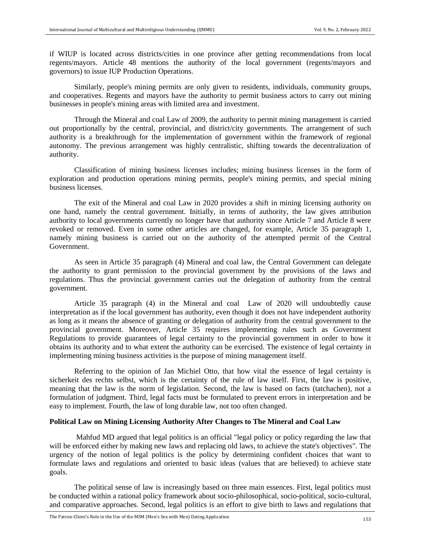if WIUP is located across districts/cities in one province after getting recommendations from local regents/mayors. Article 48 mentions the authority of the local government (regents/mayors and governors) to issue IUP Production Operations.

Similarly, people's mining permits are only given to residents, individuals, community groups, and cooperatives. Regents and mayors have the authority to permit business actors to carry out mining businesses in people's mining areas with limited area and investment.

Through the Mineral and coal Law of 2009, the authority to permit mining management is carried out proportionally by the central, provincial, and district/city governments. The arrangement of such authority is a breakthrough for the implementation of government within the framework of regional autonomy. The previous arrangement was highly centralistic, shifting towards the decentralization of authority.

Classification of mining business licenses includes; mining business licenses in the form of exploration and production operations mining permits, people's mining permits, and special mining business licenses.

The exit of the Mineral and coal Law in 2020 provides a shift in mining licensing authority on one hand, namely the central government. Initially, in terms of authority, the law gives attribution authority to local governments currently no longer have that authority since Article 7 and Article 8 were revoked or removed. Even in some other articles are changed, for example, Article 35 paragraph 1, namely mining business is carried out on the authority of the attempted permit of the Central Government.

As seen in Article 35 paragraph (4) Mineral and coal law, the Central Government can delegate the authority to grant permission to the provincial government by the provisions of the laws and regulations. Thus the provincial government carries out the delegation of authority from the central government.

Article 35 paragraph (4) in the Mineral and coal Law of 2020 will undoubtedly cause interpretation as if the local government has authority, even though it does not have independent authority as long as it means the absence of granting or delegation of authority from the central government to the provincial government. Moreover, Article 35 requires implementing rules such as Government Regulations to provide guarantees of legal certainty to the provincial government in order to how it obtains its authority and to what extent the authority can be exercised. The existence of legal certainty in implementing mining business activities is the purpose of mining management itself.

Referring to the opinion of Jan Michiel Otto, that how vital the essence of legal certainty is sicherkeit des rechts selbst, which is the certainty of the rule of law itself. First, the law is positive, meaning that the law is the norm of legislation. Second, the law is based on facts (tatchachen), not a formulation of judgment. Third, legal facts must be formulated to prevent errors in interpretation and be easy to implement. Fourth, the law of long durable law, not too often changed.

#### **Political Law on Mining Licensing Authority After Changes to The Mineral and Coal Law**

Mahfud MD argued that legal politics is an official "legal policy or policy regarding the law that will be enforced either by making new laws and replacing old laws, to achieve the state's objectives". The urgency of the notion of legal politics is the policy by determining confident choices that want to formulate laws and regulations and oriented to basic ideas (values that are believed) to achieve state goals.

The political sense of law is increasingly based on three main essences. First, legal politics must be conducted within a rational policy framework about socio-philosophical, socio-political, socio-cultural, and comparative approaches. Second, legal politics is an effort to give birth to laws and regulations that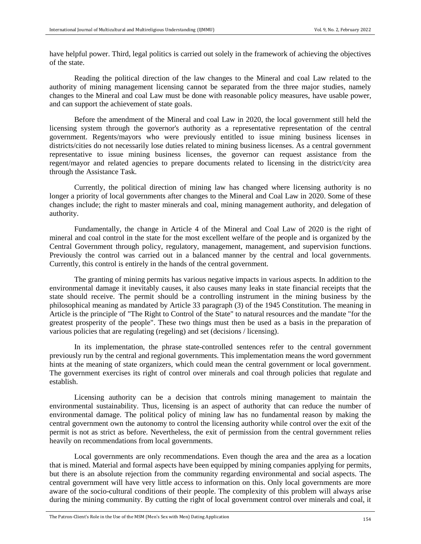have helpful power. Third, legal politics is carried out solely in the framework of achieving the objectives of the state.

Reading the political direction of the law changes to the Mineral and coal Law related to the authority of mining management licensing cannot be separated from the three major studies, namely changes to the Mineral and coal Law must be done with reasonable policy measures, have usable power, and can support the achievement of state goals.

Before the amendment of the Mineral and coal Law in 2020, the local government still held the licensing system through the governor's authority as a representative representation of the central government. Regents/mayors who were previously entitled to issue mining business licenses in districts/cities do not necessarily lose duties related to mining business licenses. As a central government representative to issue mining business licenses, the governor can request assistance from the regent/mayor and related agencies to prepare documents related to licensing in the district/city area through the Assistance Task.

Currently, the political direction of mining law has changed where licensing authority is no longer a priority of local governments after changes to the Mineral and Coal Law in 2020. Some of these changes include; the right to master minerals and coal, mining management authority, and delegation of authority.

Fundamentally, the change in Article 4 of the Mineral and Coal Law of 2020 is the right of mineral and coal control in the state for the most excellent welfare of the people and is organized by the Central Government through policy, regulatory, management, management, and supervision functions. Previously the control was carried out in a balanced manner by the central and local governments. Currently, this control is entirely in the hands of the central government.

The granting of mining permits has various negative impacts in various aspects. In addition to the environmental damage it inevitably causes, it also causes many leaks in state financial receipts that the state should receive. The permit should be a controlling instrument in the mining business by the philosophical meaning as mandated by Article 33 paragraph (3) of the 1945 Constitution. The meaning in Article is the principle of "The Right to Control of the State" to natural resources and the mandate "for the greatest prosperity of the people". These two things must then be used as a basis in the preparation of various policies that are regulating (regeling) and set (decisions / licensing).

In its implementation, the phrase state-controlled sentences refer to the central government previously run by the central and regional governments. This implementation means the word government hints at the meaning of state organizers, which could mean the central government or local government. The government exercises its right of control over minerals and coal through policies that regulate and establish.

Licensing authority can be a decision that controls mining management to maintain the environmental sustainability. Thus, licensing is an aspect of authority that can reduce the number of environmental damage. The political policy of mining law has no fundamental reason by making the central government own the autonomy to control the licensing authority while control over the exit of the permit is not as strict as before. Nevertheless, the exit of permission from the central government relies heavily on recommendations from local governments.

Local governments are only recommendations. Even though the area and the area as a location that is mined. Material and formal aspects have been equipped by mining companies applying for permits, but there is an absolute rejection from the community regarding environmental and social aspects. The central government will have very little access to information on this. Only local governments are more aware of the socio-cultural conditions of their people. The complexity of this problem will always arise during the mining community. By cutting the right of local government control over minerals and coal, it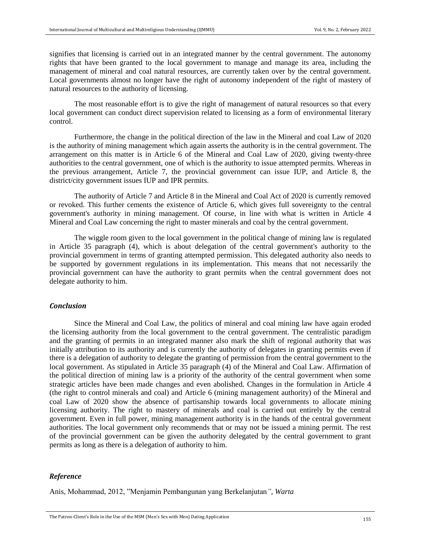signifies that licensing is carried out in an integrated manner by the central government. The autonomy rights that have been granted to the local government to manage and manage its area, including the management of mineral and coal natural resources, are currently taken over by the central government. Local governments almost no longer have the right of autonomy independent of the right of mastery of natural resources to the authority of licensing.

The most reasonable effort is to give the right of management of natural resources so that every local government can conduct direct supervision related to licensing as a form of environmental literary control.

Furthermore, the change in the political direction of the law in the Mineral and coal Law of 2020 is the authority of mining management which again asserts the authority is in the central government. The arrangement on this matter is in Article 6 of the Mineral and Coal Law of 2020, giving twenty-three authorities to the central government, one of which is the authority to issue attempted permits. Whereas in the previous arrangement, Article 7, the provincial government can issue IUP, and Article 8, the district/city government issues IUP and IPR permits.

The authority of Article 7 and Article 8 in the Mineral and Coal Act of 2020 is currently removed or revoked. This further cements the existence of Article 6, which gives full sovereignty to the central government's authority in mining management. Of course, in line with what is written in Article 4 Mineral and Coal Law concerning the right to master minerals and coal by the central government.

The wiggle room given to the local government in the political change of mining law is regulated in Article 35 paragraph (4), which is about delegation of the central government's authority to the provincial government in terms of granting attempted permission. This delegated authority also needs to be supported by government regulations in its implementation. This means that not necessarily the provincial government can have the authority to grant permits when the central government does not delegate authority to him.

#### *Conclusion*

Since the Mineral and Coal Law, the politics of mineral and coal mining law have again eroded the licensing authority from the local government to the central government. The centralistic paradigm and the granting of permits in an integrated manner also mark the shift of regional authority that was initially attribution to its authority and is currently the authority of delegates in granting permits even if there is a delegation of authority to delegate the granting of permission from the central government to the local government. As stipulated in Article 35 paragraph (4) of the Mineral and Coal Law. Affirmation of the political direction of mining law is a priority of the authority of the central government when some strategic articles have been made changes and even abolished. Changes in the formulation in Article 4 (the right to control minerals and coal) and Article 6 (mining management authority) of the Mineral and coal Law of 2020 show the absence of partisanship towards local governments to allocate mining licensing authority. The right to mastery of minerals and coal is carried out entirely by the central government. Even in full power, mining management authority is in the hands of the central government authorities. The local government only recommends that or may not be issued a mining permit. The rest of the provincial government can be given the authority delegated by the central government to grant permits as long as there is a delegation of authority to him.

#### *Reference*

Anis, Mohammad, 2012, "Menjamin Pembangunan yang Berkelanjutan*"*, *Warta*